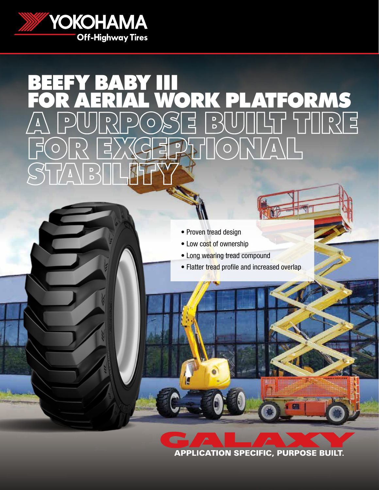

# BEEFY BABY III FOR AERIAL WORK PLATFORMS A PURPOSE BUILT TIRE FOR EXCEPTIONAL STABILITY

- Proven tread design
- Low cost of ownership
- Long wearing tread compound
- Flatter tread profile and increased overlap

**APPLICATION SPECIFIC, PURPOSE BUILT.**